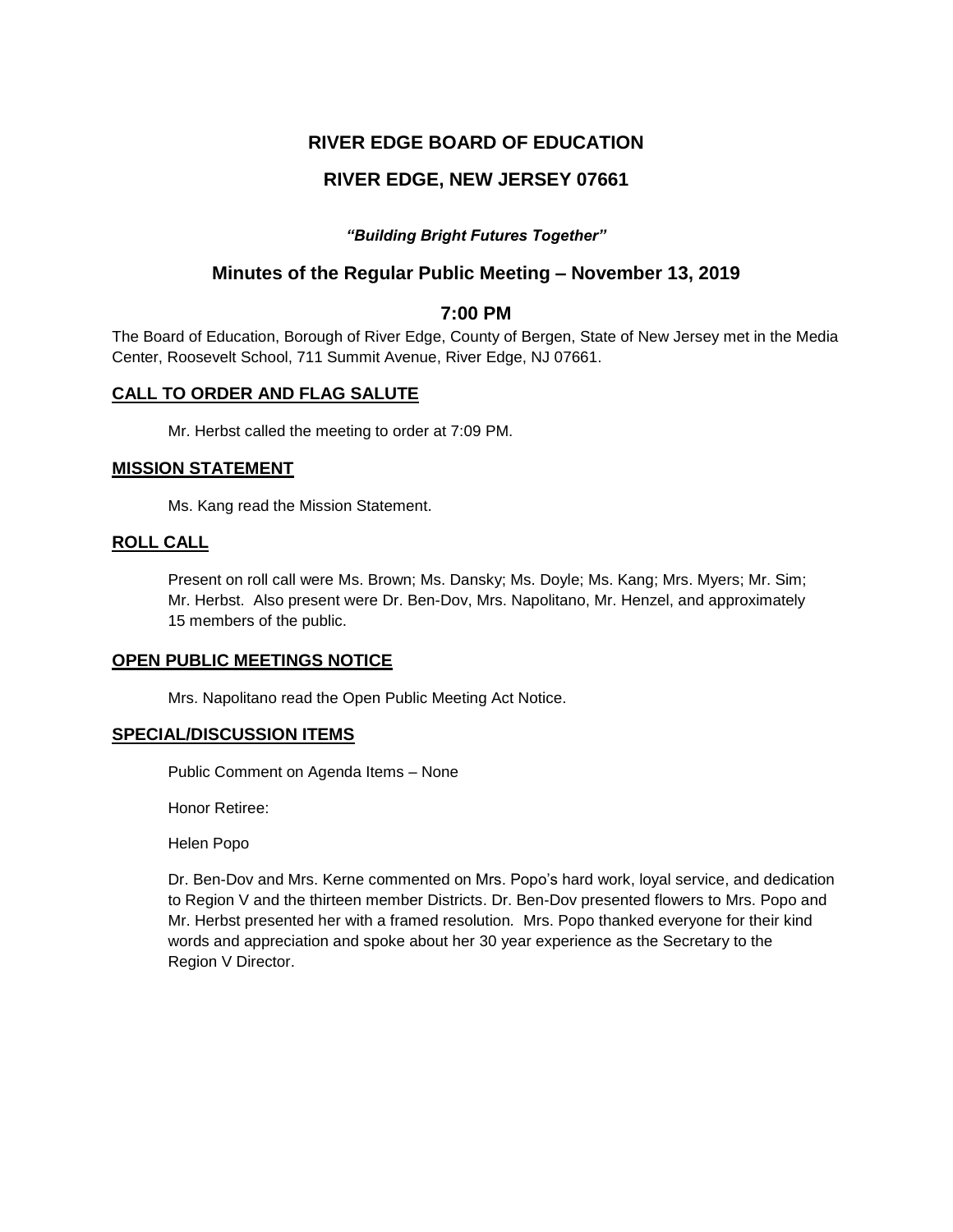# **RIVER EDGE BOARD OF EDUCATION**

# **RIVER EDGE, NEW JERSEY 07661**

## *"Building Bright Futures Together"*

# **Minutes of the Regular Public Meeting – November 13, 2019**

## **7:00 PM**

The Board of Education, Borough of River Edge, County of Bergen, State of New Jersey met in the Media Center, Roosevelt School, 711 Summit Avenue, River Edge, NJ 07661.

## **CALL TO ORDER AND FLAG SALUTE**

Mr. Herbst called the meeting to order at 7:09 PM.

### **MISSION STATEMENT**

Ms. Kang read the Mission Statement.

## **ROLL CALL**

Present on roll call were Ms. Brown; Ms. Dansky; Ms. Doyle; Ms. Kang; Mrs. Myers; Mr. Sim; Mr. Herbst. Also present were Dr. Ben-Dov, Mrs. Napolitano, Mr. Henzel, and approximately 15 members of the public.

## **OPEN PUBLIC MEETINGS NOTICE**

Mrs. Napolitano read the Open Public Meeting Act Notice.

## **SPECIAL/DISCUSSION ITEMS**

Public Comment on Agenda Items – None

Honor Retiree:

Helen Popo

Dr. Ben-Dov and Mrs. Kerne commented on Mrs. Popo's hard work, loyal service, and dedication to Region V and the thirteen member Districts. Dr. Ben-Dov presented flowers to Mrs. Popo and Mr. Herbst presented her with a framed resolution*.* Mrs. Popo thanked everyone for their kind words and appreciation and spoke about her 30 year experience as the Secretary to the Region V Director.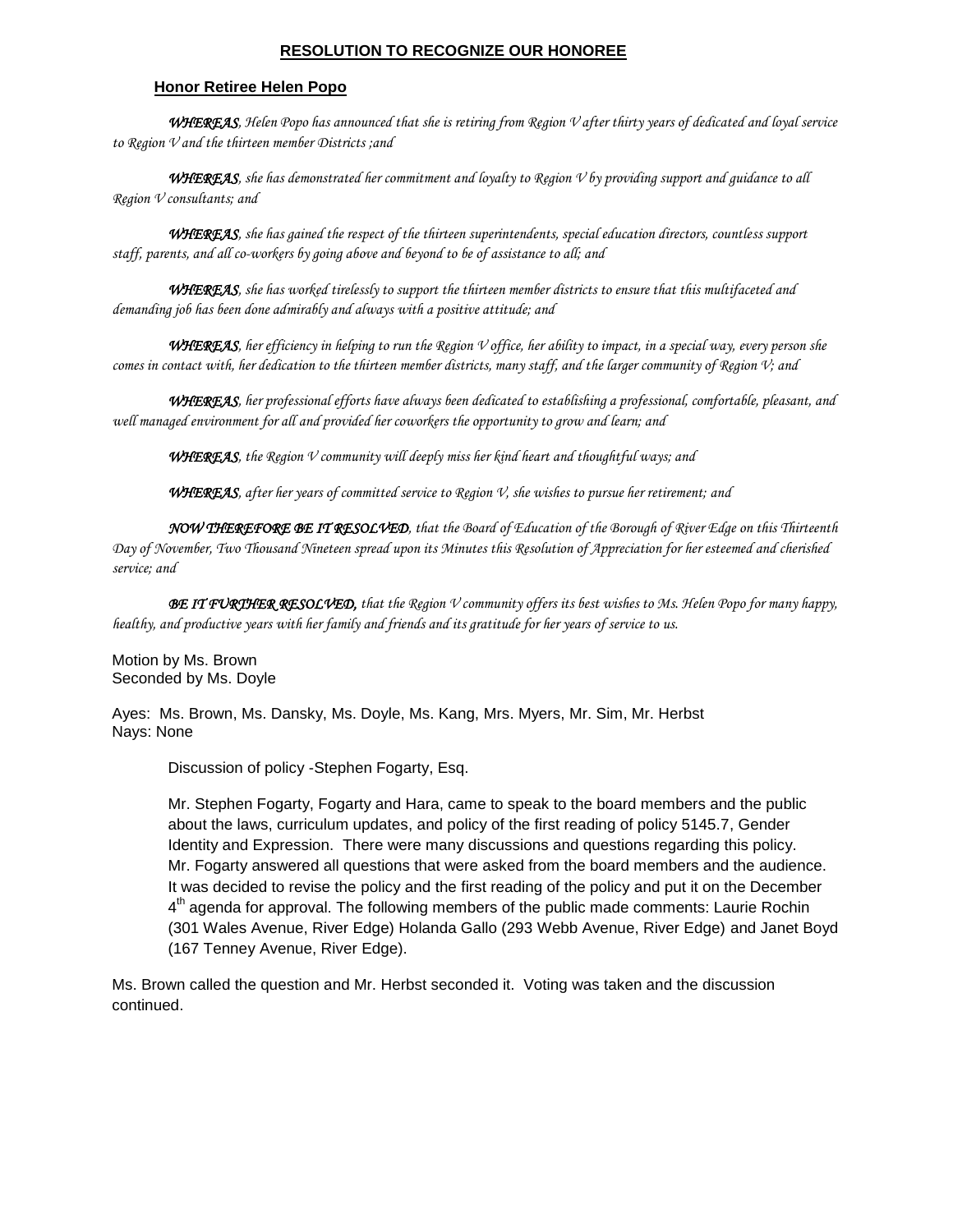### **RESOLUTION TO RECOGNIZE OUR HONOREE**

### **Honor Retiree Helen Popo**

*WHEREAS, Helen Popo has announced that she is retiring from Region V after thirty years of dedicated and loyal service to Region V and the thirteen member Districts ;and*

*WHEREAS, she has demonstrated her commitment and loyalty to Region V by providing support and guidance to all Region V consultants; and*

*WHEREAS, she has gained the respect of the thirteen superintendents, special education directors, countless support staff, parents, and all co-workers by going above and beyond to be of assistance to all; and*

*WHEREAS, she has worked tirelessly to support the thirteen member districts to ensure that this multifaceted and demanding job has been done admirably and always with a positive attitude; and*

*WHEREAS, her efficiency in helping to run the Region V office, her ability to impact, in a special way, every person she comes in contact with, her dedication to the thirteen member districts, many staff, and the larger community of Region V; and* 

*WHEREAS, her professional efforts have always been dedicated to establishing a professional, comfortable, pleasant, and well managed environment for all and provided her coworkers the opportunity to grow and learn; and*

*WHEREAS, the Region V community will deeply miss her kind heart and thoughtful ways; and*

*WHEREAS, after her years of committed service to Region V, she wishes to pursue her retirement; and*

*NOW THEREFORE BE IT RESOLVED, that the Board of Education of the Borough of River Edge on this Thirteenth Day of November, Two Thousand Nineteen spread upon its Minutes this Resolution of Appreciation for her esteemed and cherished service; and*

*BE IT FURTHER RESOLVED, that the Region V community offers its best wishes to Ms. Helen Popo for many happy, healthy, and productive years with her family and friends and its gratitude for her years of service to us.*

Motion by Ms. Brown Seconded by Ms. Doyle

Ayes: Ms. Brown, Ms. Dansky, Ms. Doyle, Ms. Kang, Mrs. Myers, Mr. Sim, Mr. Herbst Nays: None

Discussion of policy -Stephen Fogarty, Esq.

Mr. Stephen Fogarty, Fogarty and Hara, came to speak to the board members and the public about the laws, curriculum updates, and policy of the first reading of policy 5145.7, Gender Identity and Expression. There were many discussions and questions regarding this policy. Mr. Fogarty answered all questions that were asked from the board members and the audience. It was decided to revise the policy and the first reading of the policy and put it on the December 4<sup>th</sup> agenda for approval. The following members of the public made comments: Laurie Rochin (301 Wales Avenue, River Edge) Holanda Gallo (293 Webb Avenue, River Edge) and Janet Boyd (167 Tenney Avenue, River Edge).

Ms. Brown called the question and Mr. Herbst seconded it. Voting was taken and the discussion continued.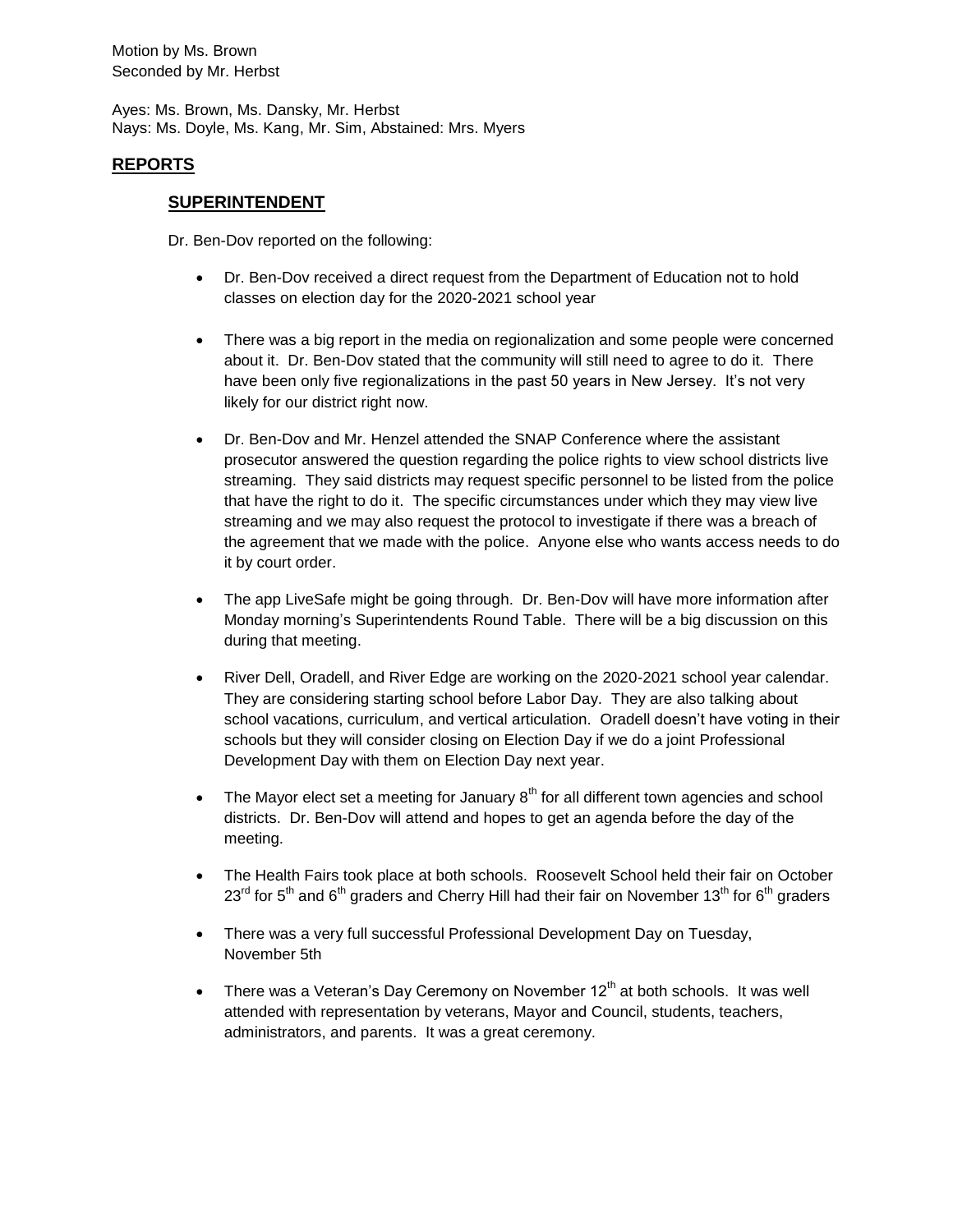Motion by Ms. Brown Seconded by Mr. Herbst

Ayes: Ms. Brown, Ms. Dansky, Mr. Herbst Nays: Ms. Doyle, Ms. Kang, Mr. Sim, Abstained: Mrs. Myers

## **REPORTS**

### **SUPERINTENDENT**

Dr. Ben-Dov reported on the following:

- Dr. Ben-Dov received a direct request from the Department of Education not to hold classes on election day for the 2020-2021 school year
- There was a big report in the media on regionalization and some people were concerned about it. Dr. Ben-Dov stated that the community will still need to agree to do it. There have been only five regionalizations in the past 50 years in New Jersey. It's not very likely for our district right now.
- Dr. Ben-Dov and Mr. Henzel attended the SNAP Conference where the assistant prosecutor answered the question regarding the police rights to view school districts live streaming. They said districts may request specific personnel to be listed from the police that have the right to do it. The specific circumstances under which they may view live streaming and we may also request the protocol to investigate if there was a breach of the agreement that we made with the police. Anyone else who wants access needs to do it by court order.
- The app LiveSafe might be going through. Dr. Ben-Dov will have more information after Monday morning's Superintendents Round Table. There will be a big discussion on this during that meeting.
- River Dell, Oradell, and River Edge are working on the 2020-2021 school year calendar. They are considering starting school before Labor Day. They are also talking about school vacations, curriculum, and vertical articulation. Oradell doesn't have voting in their schools but they will consider closing on Election Day if we do a joint Professional Development Day with them on Election Day next year.
- The Mayor elect set a meeting for January  $8<sup>th</sup>$  for all different town agencies and school districts. Dr. Ben-Dov will attend and hopes to get an agenda before the day of the meeting.
- The Health Fairs took place at both schools. Roosevelt School held their fair on October  $23<sup>rd</sup>$  for 5<sup>th</sup> and 6<sup>th</sup> graders and Cherry Hill had their fair on November 13<sup>th</sup> for 6<sup>th</sup> graders
- There was a very full successful Professional Development Day on Tuesday, November 5th
- There was a Veteran's Day Ceremony on November  $12<sup>th</sup>$  at both schools. It was well attended with representation by veterans, Mayor and Council, students, teachers, administrators, and parents. It was a great ceremony.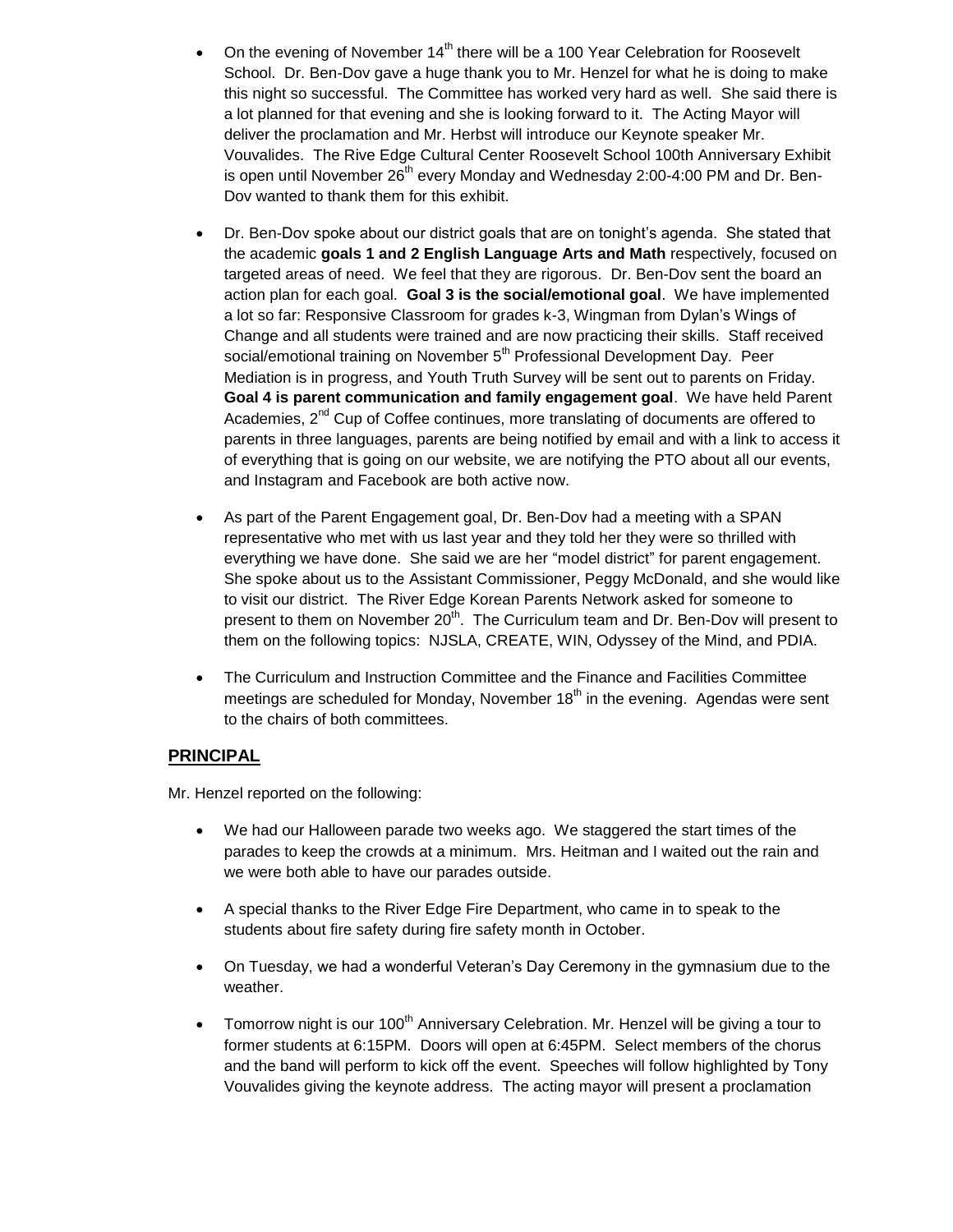- On the evening of November  $14<sup>th</sup>$  there will be a 100 Year Celebration for Roosevelt School. Dr. Ben-Dov gave a huge thank you to Mr. Henzel for what he is doing to make this night so successful. The Committee has worked very hard as well. She said there is a lot planned for that evening and she is looking forward to it. The Acting Mayor will deliver the proclamation and Mr. Herbst will introduce our Keynote speaker Mr. Vouvalides. The Rive Edge Cultural Center Roosevelt School 100th Anniversary Exhibit is open until November 26<sup>th</sup> every Monday and Wednesday 2:00-4:00 PM and Dr. Ben-Dov wanted to thank them for this exhibit.
- Dr. Ben-Dov spoke about our district goals that are on tonight's agenda. She stated that the academic **goals 1 and 2 English Language Arts and Math** respectively, focused on targeted areas of need. We feel that they are rigorous. Dr. Ben-Dov sent the board an action plan for each goal. **Goal 3 is the social/emotional goal**. We have implemented a lot so far: Responsive Classroom for grades k-3, Wingman from Dylan's Wings of Change and all students were trained and are now practicing their skills. Staff received social/emotional training on November 5<sup>th</sup> Professional Development Day. Peer Mediation is in progress, and Youth Truth Survey will be sent out to parents on Friday. **Goal 4 is parent communication and family engagement goal**. We have held Parent Academies, 2<sup>nd</sup> Cup of Coffee continues, more translating of documents are offered to parents in three languages, parents are being notified by email and with a link to access it of everything that is going on our website, we are notifying the PTO about all our events, and Instagram and Facebook are both active now.
- As part of the Parent Engagement goal, Dr. Ben-Dov had a meeting with a SPAN representative who met with us last year and they told her they were so thrilled with everything we have done. She said we are her "model district" for parent engagement. She spoke about us to the Assistant Commissioner, Peggy McDonald, and she would like to visit our district. The River Edge Korean Parents Network asked for someone to present to them on November  $20<sup>th</sup>$ . The Curriculum team and Dr. Ben-Dov will present to them on the following topics: NJSLA, CREATE, WIN, Odyssey of the Mind, and PDIA.
- The Curriculum and Instruction Committee and the Finance and Facilities Committee meetings are scheduled for Monday, November  $18<sup>th</sup>$  in the evening. Agendas were sent to the chairs of both committees.

## **PRINCIPAL**

Mr. Henzel reported on the following:

- We had our Halloween parade two weeks ago. We staggered the start times of the parades to keep the crowds at a minimum. Mrs. Heitman and I waited out the rain and we were both able to have our parades outside.
- A special thanks to the River Edge Fire Department, who came in to speak to the students about fire safety during fire safety month in October.
- On Tuesday, we had a wonderful Veteran's Day Ceremony in the gymnasium due to the weather.
- Tomorrow night is our 100<sup>th</sup> Anniversary Celebration. Mr. Henzel will be giving a tour to former students at 6:15PM. Doors will open at 6:45PM. Select members of the chorus and the band will perform to kick off the event. Speeches will follow highlighted by Tony Vouvalides giving the keynote address. The acting mayor will present a proclamation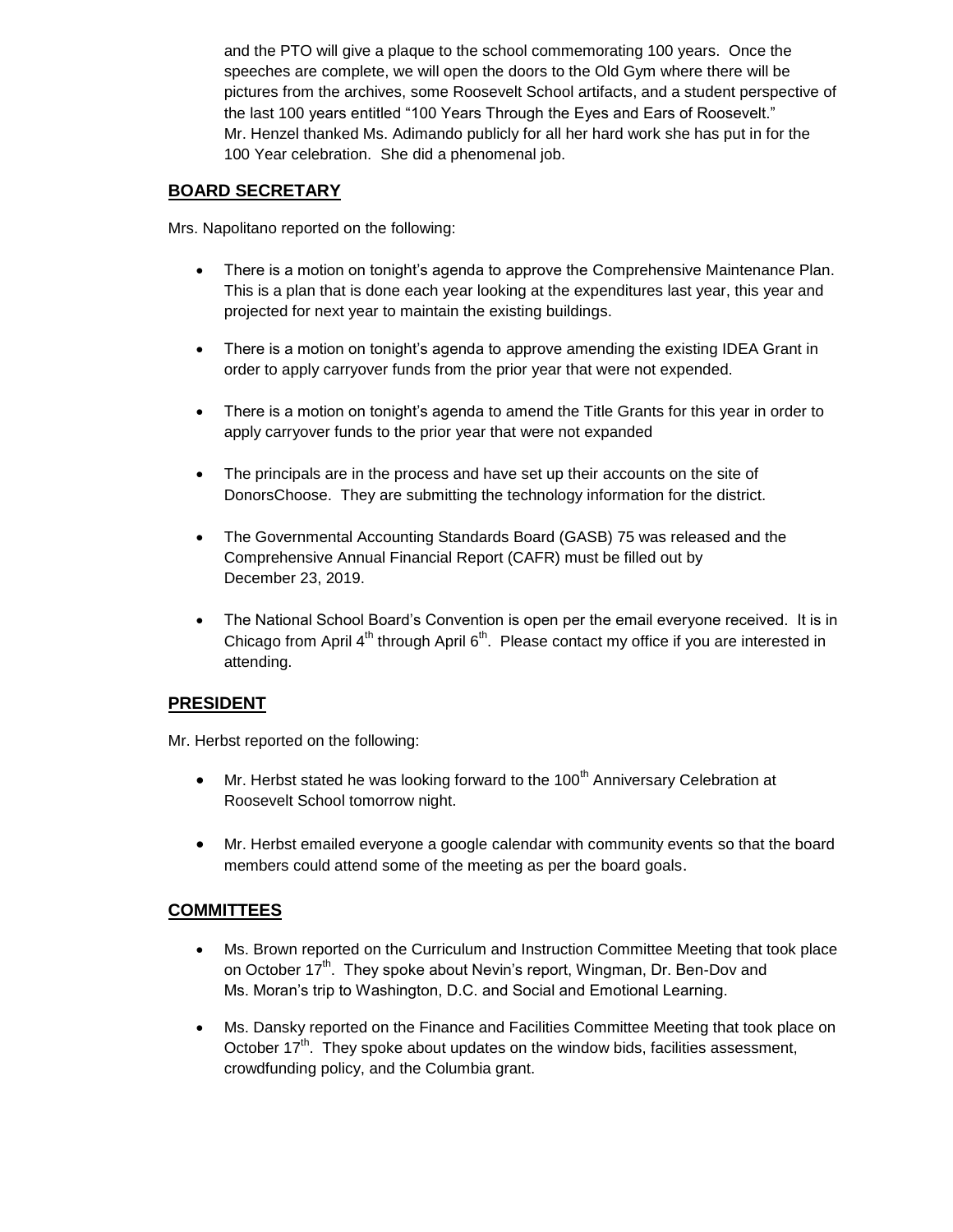and the PTO will give a plaque to the school commemorating 100 years. Once the speeches are complete, we will open the doors to the Old Gym where there will be pictures from the archives, some Roosevelt School artifacts, and a student perspective of the last 100 years entitled "100 Years Through the Eyes and Ears of Roosevelt." Mr. Henzel thanked Ms. Adimando publicly for all her hard work she has put in for the 100 Year celebration. She did a phenomenal job.

# **BOARD SECRETARY**

Mrs. Napolitano reported on the following:

- There is a motion on tonight's agenda to approve the Comprehensive Maintenance Plan. This is a plan that is done each year looking at the expenditures last year, this year and projected for next year to maintain the existing buildings.
- There is a motion on tonight's agenda to approve amending the existing IDEA Grant in order to apply carryover funds from the prior year that were not expended.
- There is a motion on tonight's agenda to amend the Title Grants for this year in order to apply carryover funds to the prior year that were not expanded
- The principals are in the process and have set up their accounts on the site of DonorsChoose. They are submitting the technology information for the district.
- The Governmental Accounting Standards Board (GASB) 75 was released and the Comprehensive Annual Financial Report (CAFR) must be filled out by December 23, 2019.
- The National School Board's Convention is open per the email everyone received. It is in Chicago from April 4<sup>th</sup> through April 6<sup>th</sup>. Please contact my office if you are interested in attending.

## **PRESIDENT**

Mr. Herbst reported on the following:

- $\bullet$  Mr. Herbst stated he was looking forward to the 100<sup>th</sup> Anniversary Celebration at Roosevelt School tomorrow night.
- Mr. Herbst emailed everyone a google calendar with community events so that the board members could attend some of the meeting as per the board goals.

# **COMMITTEES**

- Ms. Brown reported on the Curriculum and Instruction Committee Meeting that took place on October 17<sup>th</sup>. They spoke about Nevin's report, Wingman, Dr. Ben-Dov and Ms. Moran's trip to Washington, D.C. and Social and Emotional Learning.
- Ms. Dansky reported on the Finance and Facilities Committee Meeting that took place on October  $17<sup>th</sup>$ . They spoke about updates on the window bids, facilities assessment, crowdfunding policy, and the Columbia grant.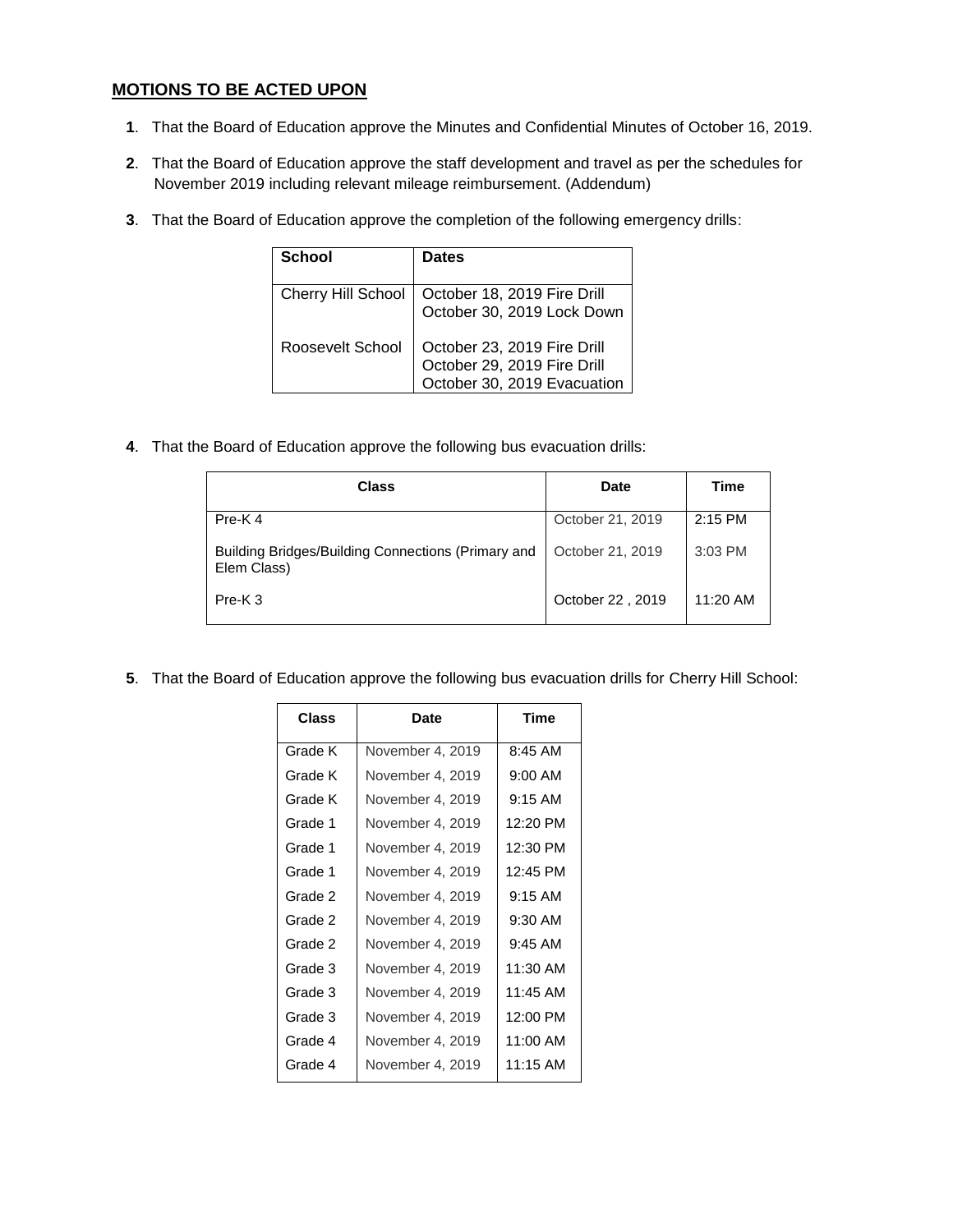# **MOTIONS TO BE ACTED UPON**

- **1**. That the Board of Education approve the Minutes and Confidential Minutes of October 16, 2019.
- **2**. That the Board of Education approve the staff development and travel as per the schedules for November 2019 including relevant mileage reimbursement. (Addendum)
- **3**. That the Board of Education approve the completion of the following emergency drills:

| School                    | Dates                                                                                     |
|---------------------------|-------------------------------------------------------------------------------------------|
| <b>Cherry Hill School</b> | October 18, 2019 Fire Drill<br>October 30, 2019 Lock Down                                 |
| Roosevelt School          | October 23, 2019 Fire Drill<br>October 29, 2019 Fire Drill<br>October 30, 2019 Evacuation |

**4**. That the Board of Education approve the following bus evacuation drills:

| <b>Class</b>                                                      | Date             | <b>Time</b> |
|-------------------------------------------------------------------|------------------|-------------|
| Pre-K4                                                            | October 21, 2019 | $2:15$ PM   |
| Building Bridges/Building Connections (Primary and<br>Elem Class) | October 21, 2019 | $3:03$ PM   |
| $Pre-K 3$                                                         | October 22, 2019 | 11:20 AM    |

**5**. That the Board of Education approve the following bus evacuation drills for Cherry Hill School:

| <b>Class</b> | Date             | <b>Time</b> |
|--------------|------------------|-------------|
| Grade K      | November 4, 2019 | 8:45 AM     |
| Grade K      | November 4, 2019 | $9:00$ AM   |
| Grade K      | November 4, 2019 | $9:15$ AM   |
| Grade 1      | November 4, 2019 | 12:20 PM    |
| Grade 1      | November 4, 2019 | 12:30 PM    |
| Grade 1      | November 4, 2019 | 12:45 PM    |
| Grade 2      | November 4, 2019 | $9:15$ AM   |
| Grade 2      | November 4, 2019 | 9:30 AM     |
| Grade 2      | November 4, 2019 | $9:45$ AM   |
| Grade 3      | November 4, 2019 | 11:30 AM    |
| Grade 3      | November 4, 2019 | 11:45 AM    |
| Grade 3      | November 4, 2019 | 12:00 PM    |
| Grade 4      | November 4, 2019 | 11:00 AM    |
| Grade 4      | November 4, 2019 | $11:15$ AM  |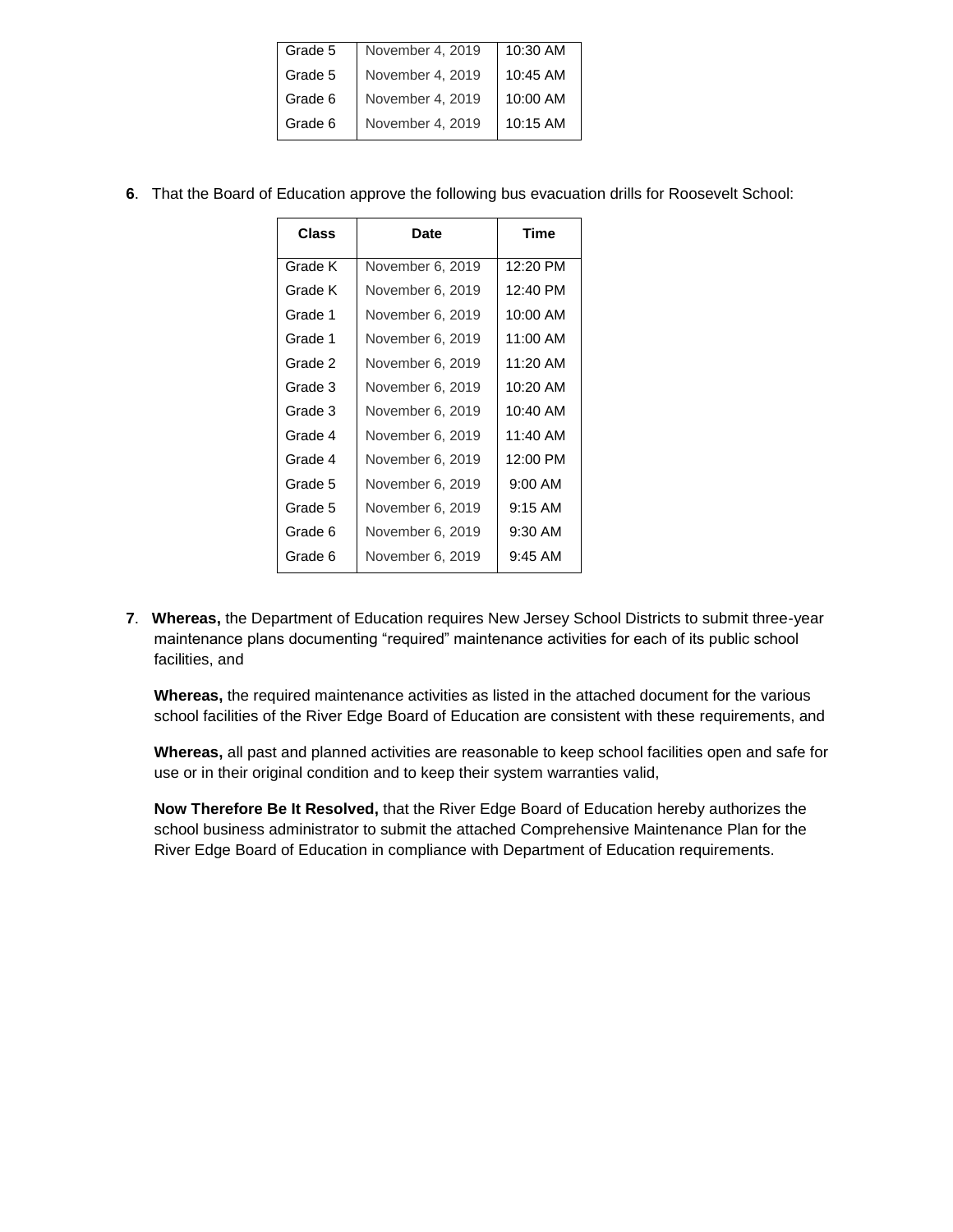| November 4, 2019 | 10:30 AM |
|------------------|----------|
| November 4, 2019 | 10:45 AM |
| November 4, 2019 | 10:00 AM |
| November 4, 2019 | 10:15 AM |
|                  |          |

**6**. That the Board of Education approve the following bus evacuation drills for Roosevelt School:

| Class   | Date             | Time      |
|---------|------------------|-----------|
| Grade K | November 6, 2019 | 12:20 PM  |
| Grade K | November 6, 2019 | 12:40 PM  |
| Grade 1 | November 6, 2019 | 10:00 AM  |
| Grade 1 | November 6, 2019 | 11:00 AM  |
| Grade 2 | November 6, 2019 | 11:20 AM  |
| Grade 3 | November 6, 2019 | 10:20 AM  |
| Grade 3 | November 6, 2019 | 10:40 AM  |
| Grade 4 | November 6, 2019 | 11:40 AM  |
| Grade 4 | November 6, 2019 | 12:00 PM  |
| Grade 5 | November 6, 2019 | $9:00$ AM |
| Grade 5 | November 6, 2019 | $9:15$ AM |
| Grade 6 | November 6, 2019 | $9:30$ AM |
| Grade 6 | November 6, 2019 | $9:45$ AM |
|         |                  |           |

**7**. **Whereas,** the Department of Education requires New Jersey School Districts to submit three-year maintenance plans documenting "required" maintenance activities for each of its public school facilities, and

**Whereas,** the required maintenance activities as listed in the attached document for the various school facilities of the River Edge Board of Education are consistent with these requirements, and

**Whereas,** all past and planned activities are reasonable to keep school facilities open and safe for use or in their original condition and to keep their system warranties valid,

**Now Therefore Be It Resolved,** that the River Edge Board of Education hereby authorizes the school business administrator to submit the attached Comprehensive Maintenance Plan for the River Edge Board of Education in compliance with Department of Education requirements.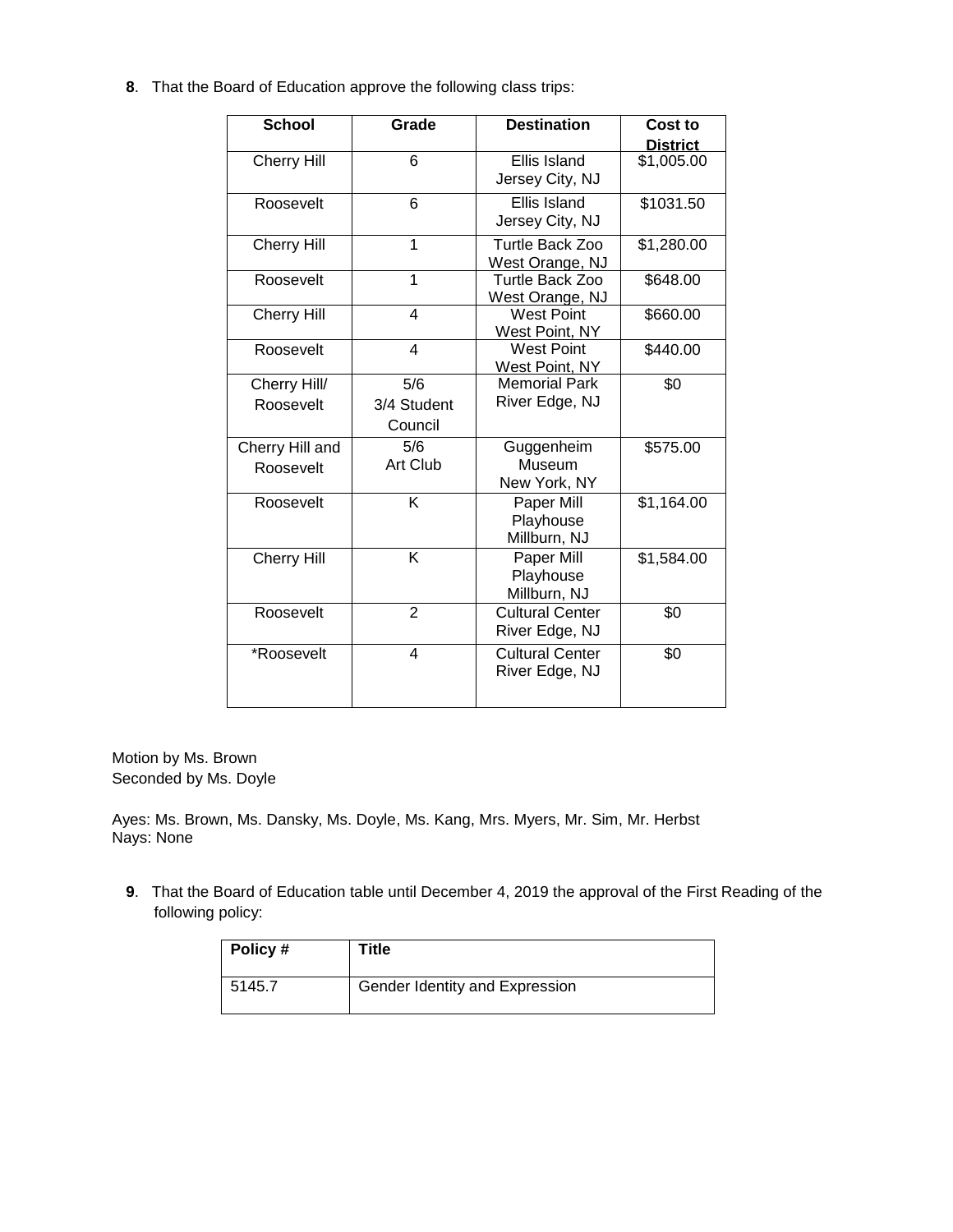**8**. That the Board of Education approve the following class trips:

| <b>School</b>                | Grade                         | <b>Destination</b>                       | Cost to<br><b>District</b> |
|------------------------------|-------------------------------|------------------------------------------|----------------------------|
| <b>Cherry Hill</b>           | 6                             | Ellis Island<br>Jersey City, NJ          | \$1,005.00                 |
| Roosevelt                    | 6                             | Ellis Island<br>Jersey City, NJ          | \$1031.50                  |
| <b>Cherry Hill</b>           | 1                             | Turtle Back Zoo<br>West Orange, NJ       | \$1,280.00                 |
| Roosevelt                    | 1                             | Turtle Back Zoo<br>West Orange, NJ       | \$648.00                   |
| <b>Cherry Hill</b>           | 4                             | <b>West Point</b><br>West Point, NY      | \$660.00                   |
| Roosevelt                    | 4                             | <b>West Point</b><br>West Point, NY      | \$440.00                   |
| Cherry Hill/<br>Roosevelt    | 5/6<br>3/4 Student<br>Council | <b>Memorial Park</b><br>River Edge, NJ   | \$0                        |
| Cherry Hill and<br>Roosevelt | 5/6<br>Art Club               | Guggenheim<br>Museum<br>New York, NY     | \$575.00                   |
| Roosevelt                    | K                             | Paper Mill<br>Playhouse<br>Millburn, NJ  | \$1,164.00                 |
| <b>Cherry Hill</b>           | Κ                             | Paper Mill<br>Playhouse<br>Millburn, NJ  | \$1,584.00                 |
| Roosevelt                    | $\overline{2}$                | <b>Cultural Center</b><br>River Edge, NJ | \$0                        |
| *Roosevelt                   | 4                             | <b>Cultural Center</b><br>River Edge, NJ | \$0                        |

Motion by Ms. Brown Seconded by Ms. Doyle

Ayes: Ms. Brown, Ms. Dansky, Ms. Doyle, Ms. Kang, Mrs. Myers, Mr. Sim, Mr. Herbst Nays: None

**9**. That the Board of Education table until December 4, 2019 the approval of the First Reading of the following policy:

| Policy # | Title                          |
|----------|--------------------------------|
| 5145.7   | Gender Identity and Expression |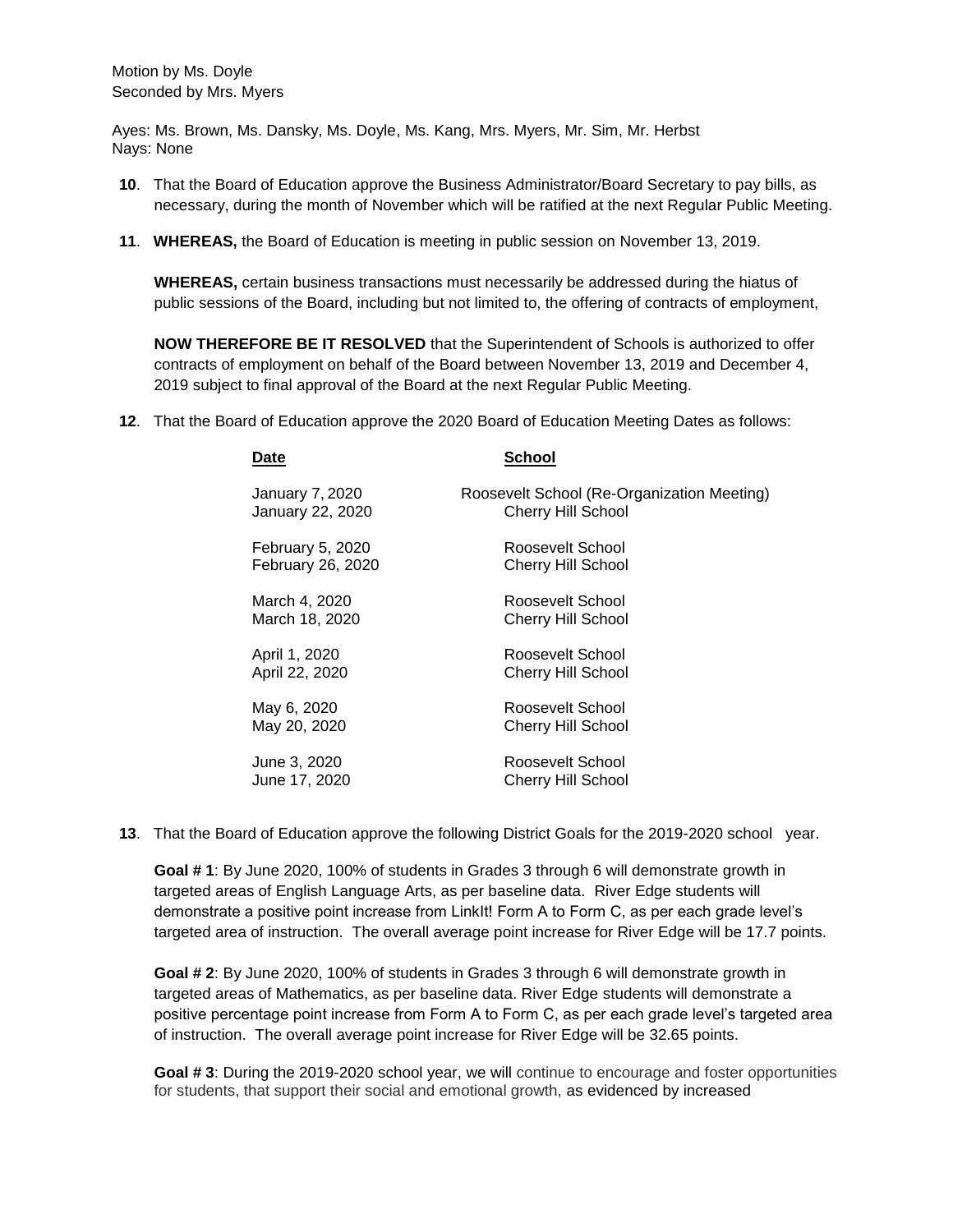Ayes: Ms. Brown, Ms. Dansky, Ms. Doyle, Ms. Kang, Mrs. Myers, Mr. Sim, Mr. Herbst Nays: None

- **10**. That the Board of Education approve the Business Administrator/Board Secretary to pay bills, as necessary, during the month of November which will be ratified at the next Regular Public Meeting.
- **11**. **WHEREAS,** the Board of Education is meeting in public session on November 13, 2019.

**WHEREAS,** certain business transactions must necessarily be addressed during the hiatus of public sessions of the Board, including but not limited to, the offering of contracts of employment,

**NOW THEREFORE BE IT RESOLVED** that the Superintendent of Schools is authorized to offer contracts of employment on behalf of the Board between November 13, 2019 and December 4, 2019 subject to final approval of the Board at the next Regular Public Meeting.

**12**. That the Board of Education approve the 2020 Board of Education Meeting Dates as follows:

| Date                                  | School                                                                  |
|---------------------------------------|-------------------------------------------------------------------------|
| January 7, 2020<br>January 22, 2020   | Roosevelt School (Re-Organization Meeting)<br><b>Cherry Hill School</b> |
| February 5, 2020<br>February 26, 2020 | Roosevelt School<br>Cherry Hill School                                  |
| March 4, 2020<br>March 18, 2020       | Roosevelt School<br><b>Cherry Hill School</b>                           |
| April 1, 2020<br>April 22, 2020       | Roosevelt School<br>Cherry Hill School                                  |
| May 6, 2020<br>May 20, 2020           | Roosevelt School<br>Cherry Hill School                                  |
| June 3, 2020<br>June 17, 2020         | Roosevelt School<br><b>Cherry Hill School</b>                           |

**13**. That the Board of Education approve the following District Goals for the 2019-2020 school year.

**Goal # 1**: By June 2020, 100% of students in Grades 3 through 6 will demonstrate growth in targeted areas of English Language Arts, as per baseline data. River Edge students will demonstrate a positive point increase from LinkIt! Form A to Form C, as per each grade level's targeted area of instruction. The overall average point increase for River Edge will be 17.7 points.

**Goal # 2**: By June 2020, 100% of students in Grades 3 through 6 will demonstrate growth in targeted areas of Mathematics, as per baseline data. River Edge students will demonstrate a positive percentage point increase from Form A to Form C, as per each grade level's targeted area of instruction. The overall average point increase for River Edge will be 32.65 points.

**Goal # 3**: During the 2019-2020 school year, we will continue to encourage and foster opportunities for students, that support their social and emotional growth, as evidenced by increased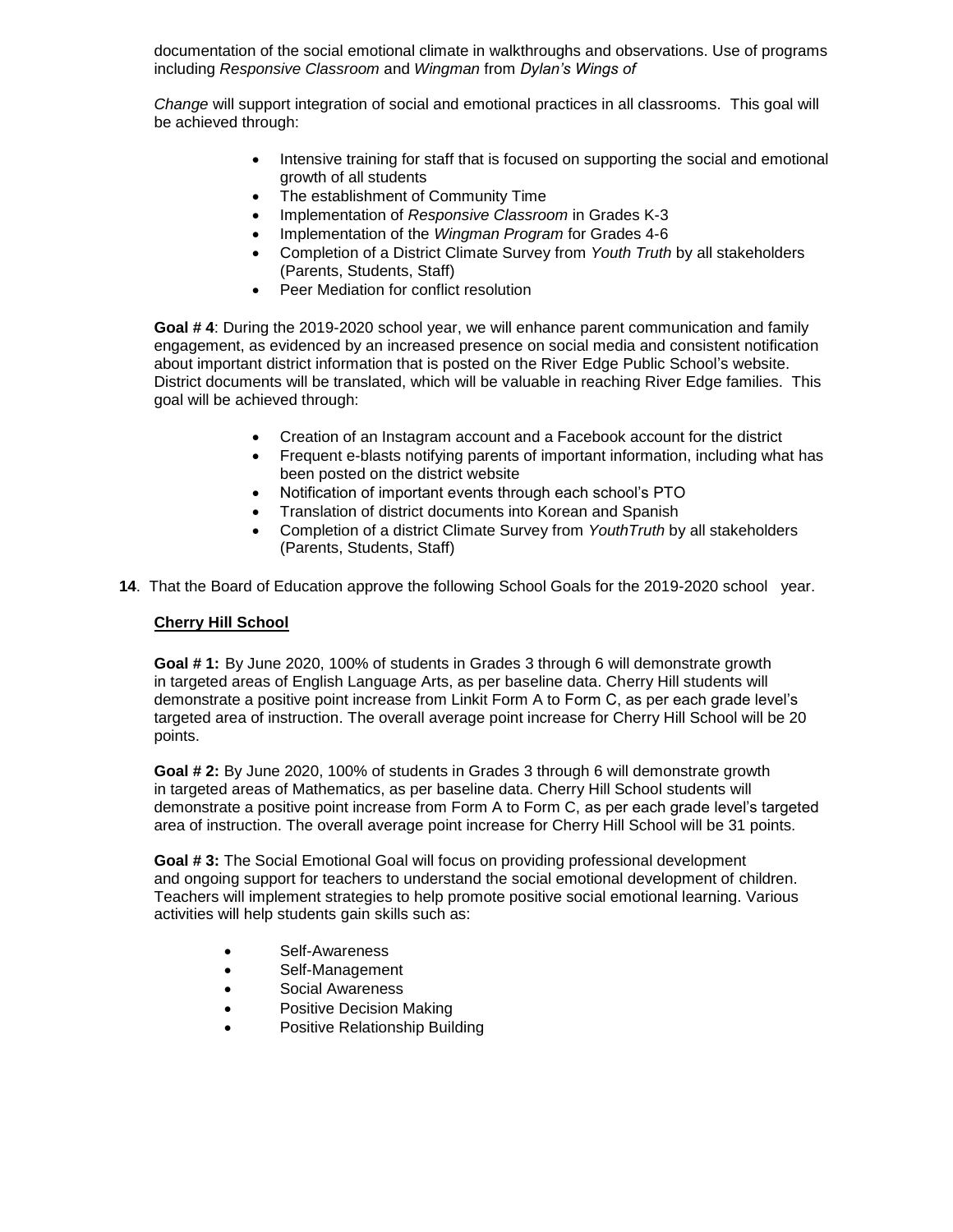documentation of the social emotional climate in walkthroughs and observations. Use of programs including *Responsive Classroom* and *Wingman* from *Dylan's Wings of* 

*Change* will support integration of social and emotional practices in all classrooms. This goal will be achieved through:

- Intensive training for staff that is focused on supporting the social and emotional growth of all students
- The establishment of Community Time
- Implementation of *Responsive Classroom* in Grades K-3
- Implementation of the *Wingman Program* for Grades 4-6
- Completion of a District Climate Survey from *Youth Truth* by all stakeholders (Parents, Students, Staff)
- Peer Mediation for conflict resolution

**Goal # 4**: During the 2019-2020 school year, we will enhance parent communication and family engagement, as evidenced by an increased presence on social media and consistent notification about important district information that is posted on the River Edge Public School's website. District documents will be translated, which will be valuable in reaching River Edge families. This goal will be achieved through:

- Creation of an Instagram account and a Facebook account for the district
- Frequent e-blasts notifying parents of important information, including what has been posted on the district website
- Notification of important events through each school's PTO
- Translation of district documents into Korean and Spanish
- Completion of a district Climate Survey from *YouthTruth* by all stakeholders (Parents, Students, Staff)
- **14**. That the Board of Education approve the following School Goals for the 2019-2020 school year.

### **Cherry Hill School**

**Goal # 1:** By June 2020, 100% of students in Grades 3 through 6 will demonstrate growth in targeted areas of English Language Arts, as per baseline data. Cherry Hill students will demonstrate a positive point increase from Linkit Form A to Form C, as per each grade level's targeted area of instruction. The overall average point increase for Cherry Hill School will be 20 points.

**Goal # 2:** By June 2020, 100% of students in Grades 3 through 6 will demonstrate growth in targeted areas of Mathematics, as per baseline data. Cherry Hill School students will demonstrate a positive point increase from Form A to Form C, as per each grade level's targeted area of instruction. The overall average point increase for Cherry Hill School will be 31 points.

**Goal # 3:** The Social Emotional Goal will focus on providing professional development and ongoing support for teachers to understand the social emotional development of children. Teachers will implement strategies to help promote positive social emotional learning. Various activities will help students gain skills such as:

- Self-Awareness
- Self-Management
- Social Awareness
- Positive Decision Making
- Positive Relationship Building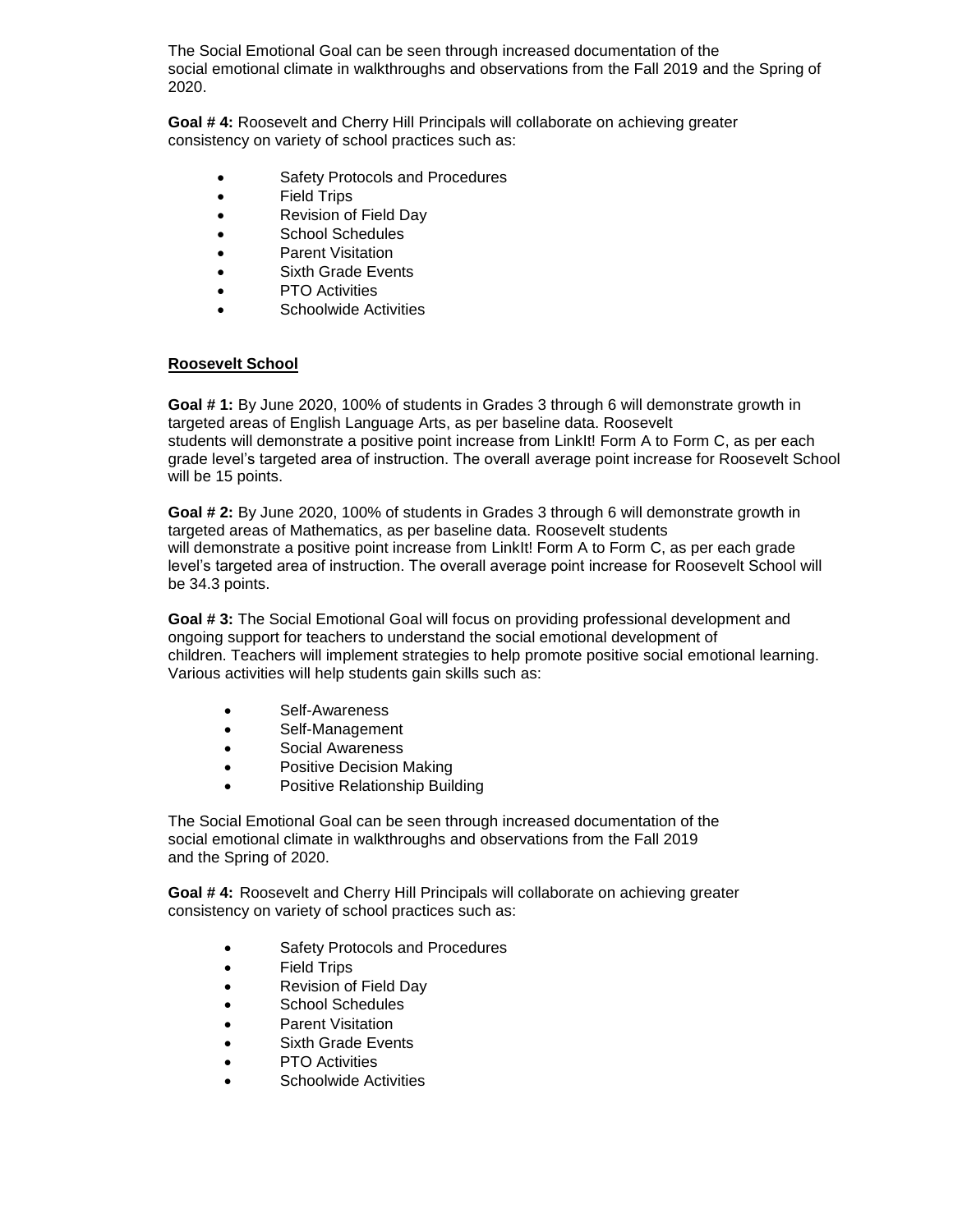The Social Emotional Goal can be seen through increased documentation of the social emotional climate in walkthroughs and observations from the Fall 2019 and the Spring of 2020.

**Goal # 4:** Roosevelt and Cherry Hill Principals will collaborate on achieving greater consistency on variety of school practices such as:

- Safety Protocols and Procedures
- Field Trips
- Revision of Field Day
- School Schedules
- Parent Visitation
- Sixth Grade Events
- PTO Activities
- Schoolwide Activities

### **Roosevelt School**

**Goal # 1:** By June 2020, 100% of students in Grades 3 through 6 will demonstrate growth in targeted areas of English Language Arts, as per baseline data. Roosevelt students will demonstrate a positive point increase from LinkIt! Form A to Form C, as per each grade level's targeted area of instruction. The overall average point increase for Roosevelt School will be 15 points.

**Goal # 2:** By June 2020, 100% of students in Grades 3 through 6 will demonstrate growth in targeted areas of Mathematics, as per baseline data. Roosevelt students will demonstrate a positive point increase from LinkIt! Form A to Form C, as per each grade level's targeted area of instruction. The overall average point increase for Roosevelt School will be 34.3 points.

**Goal # 3:** The Social Emotional Goal will focus on providing professional development and ongoing support for teachers to understand the social emotional development of children. Teachers will implement strategies to help promote positive social emotional learning. Various activities will help students gain skills such as:

- Self-Awareness
- Self-Management
- Social Awareness
- Positive Decision Making
- Positive Relationship Building

The Social Emotional Goal can be seen through increased documentation of the social emotional climate in walkthroughs and observations from the Fall 2019 and the Spring of 2020.

**Goal # 4:** Roosevelt and Cherry Hill Principals will collaborate on achieving greater consistency on variety of school practices such as:

- Safety Protocols and Procedures
- Field Trips
- Revision of Field Day
- School Schedules
- Parent Visitation
- Sixth Grade Events
- PTO Activities
- Schoolwide Activities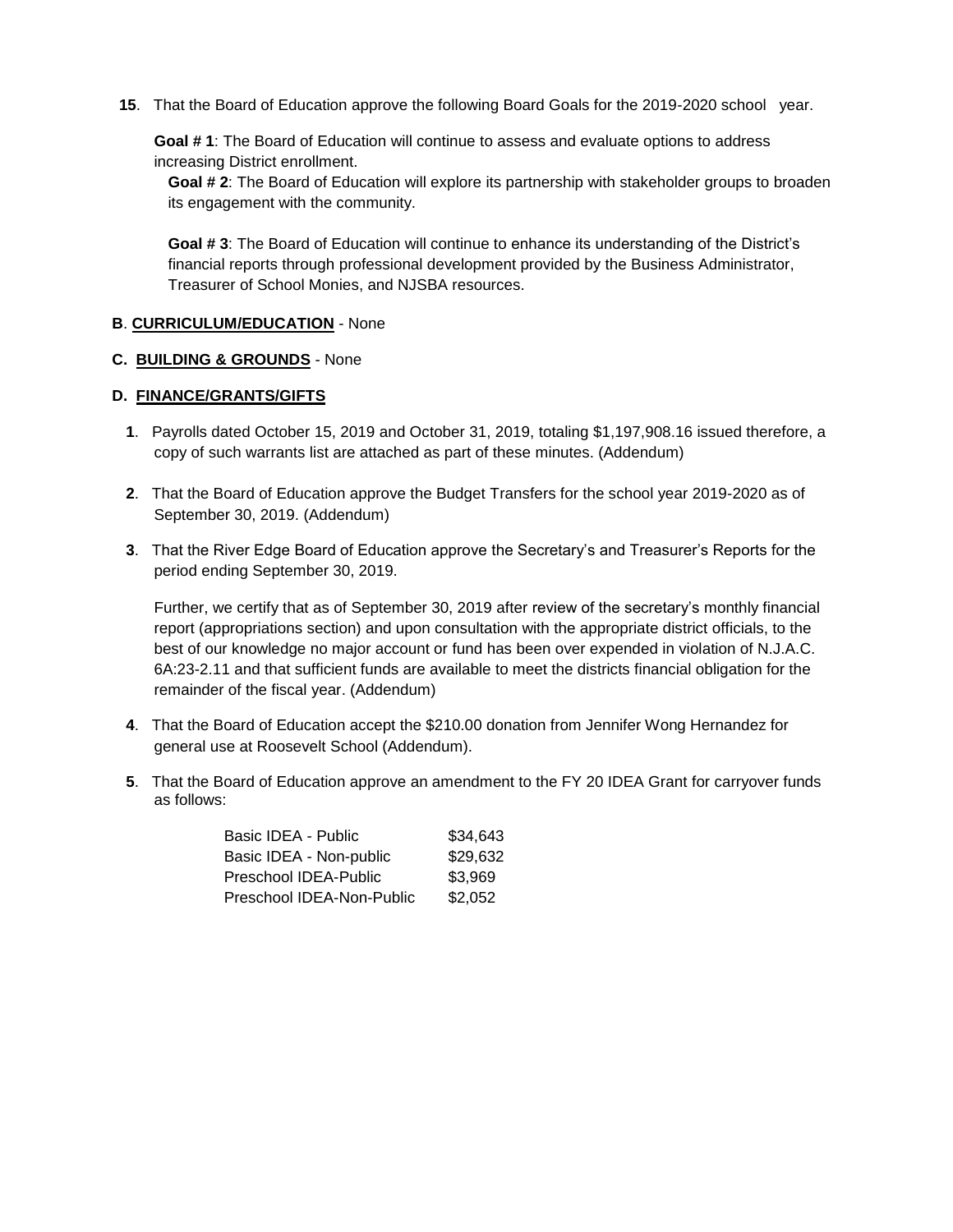**15**. That the Board of Education approve the following Board Goals for the 2019-2020 school year.

**Goal # 1**: The Board of Education will continue to assess and evaluate options to address increasing District enrollment.

**Goal # 2**: The Board of Education will explore its partnership with stakeholder groups to broaden its engagement with the community.

**Goal # 3**: The Board of Education will continue to enhance its understanding of the District's financial reports through professional development provided by the Business Administrator, Treasurer of School Monies, and NJSBA resources.

### **B**. **CURRICULUM/EDUCATION** - None

#### **C. BUILDING & GROUNDS** - None

### **D. FINANCE/GRANTS/GIFTS**

- **1**. Payrolls dated October 15, 2019 and October 31, 2019, totaling \$1,197,908.16 issued therefore, a copy of such warrants list are attached as part of these minutes. (Addendum)
- **2**. That the Board of Education approve the Budget Transfers for the school year 2019-2020 as of September 30, 2019. (Addendum)
- **3**. That the River Edge Board of Education approve the Secretary's and Treasurer's Reports for the period ending September 30, 2019.

Further, we certify that as of September 30, 2019 after review of the secretary's monthly financial report (appropriations section) and upon consultation with the appropriate district officials, to the best of our knowledge no major account or fund has been over expended in violation of N.J.A.C. 6A:23-2.11 and that sufficient funds are available to meet the districts financial obligation for the remainder of the fiscal year. (Addendum)

- **4**. That the Board of Education accept the \$210.00 donation from Jennifer Wong Hernandez for general use at Roosevelt School (Addendum).
- **5**. That the Board of Education approve an amendment to the FY 20 IDEA Grant for carryover funds as follows:

| Basic IDEA - Public       | \$34,643 |
|---------------------------|----------|
| Basic IDEA - Non-public   | \$29,632 |
| Preschool IDEA-Public     | \$3,969  |
| Preschool IDEA-Non-Public | \$2,052  |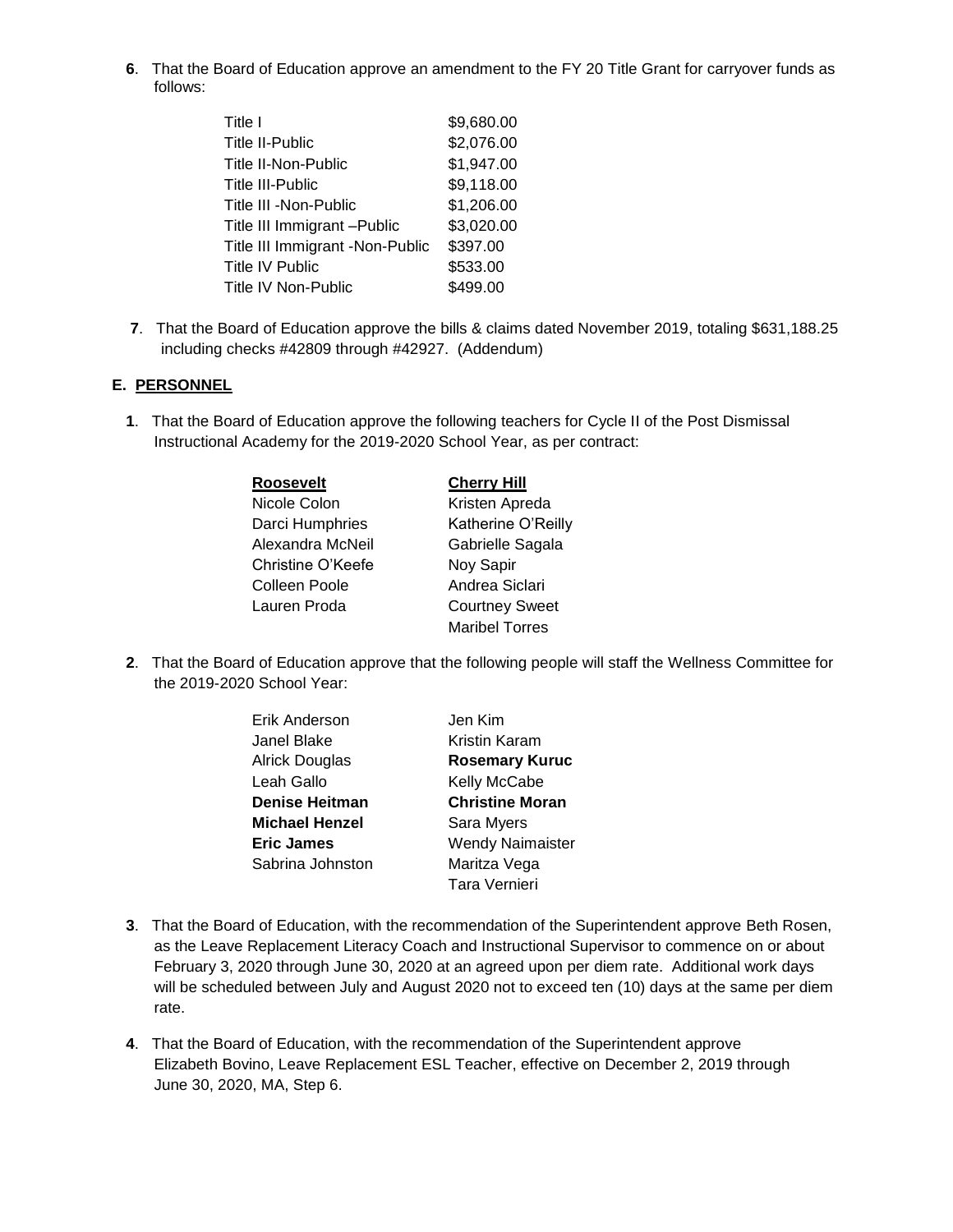**6**. That the Board of Education approve an amendment to the FY 20 Title Grant for carryover funds as follows:

| Title I                         | \$9,680.00 |
|---------------------------------|------------|
| Title II-Public                 | \$2,076.00 |
| Title II-Non-Public             | \$1,947.00 |
| <b>Title III-Public</b>         | \$9,118.00 |
| Title III -Non-Public           | \$1,206.00 |
| Title III Immigrant - Public    | \$3,020.00 |
| Title III Immigrant -Non-Public | \$397.00   |
| Title IV Public                 | \$533.00   |
| <b>Title IV Non-Public</b>      | \$499.00   |
|                                 |            |

**7**. That the Board of Education approve the bills & claims dated November 2019, totaling \$631,188.25 including checks #42809 through #42927. (Addendum)

### **E. PERSONNEL**

**1**. That the Board of Education approve the following teachers for Cycle II of the Post Dismissal Instructional Academy for the 2019-2020 School Year, as per contract:

| <b>Roosevelt</b>  | <b>Cherry Hill</b>    |
|-------------------|-----------------------|
| Nicole Colon      | Kristen Apreda        |
| Darci Humphries   | Katherine O'Reilly    |
| Alexandra McNeil  | Gabrielle Sagala      |
| Christine O'Keefe | Noy Sapir             |
| Colleen Poole     | Andrea Siclari        |
| Lauren Proda      | <b>Courtney Sweet</b> |
|                   | <b>Maribel Torres</b> |

**2**. That the Board of Education approve that the following people will staff the Wellness Committee for the 2019-2020 School Year:

| Erik Anderson         | Jen Kim                 |
|-----------------------|-------------------------|
| Janel Blake           | <b>Kristin Karam</b>    |
| Alrick Douglas        | <b>Rosemary Kuruc</b>   |
| Leah Gallo            | Kelly McCabe            |
| <b>Denise Heitman</b> | <b>Christine Moran</b>  |
| Michael Henzel        | Sara Myers              |
| <b>Eric James</b>     | <b>Wendy Naimaister</b> |
| Sabrina Johnston      | Maritza Vega            |
|                       | Tara Vernieri           |

- **3**. That the Board of Education, with the recommendation of the Superintendent approve Beth Rosen, as the Leave Replacement Literacy Coach and Instructional Supervisor to commence on or about February 3, 2020 through June 30, 2020 at an agreed upon per diem rate. Additional work days will be scheduled between July and August 2020 not to exceed ten (10) days at the same per diem rate.
- **4**. That the Board of Education, with the recommendation of the Superintendent approve Elizabeth Bovino, Leave Replacement ESL Teacher, effective on December 2, 2019 through June 30, 2020, MA, Step 6.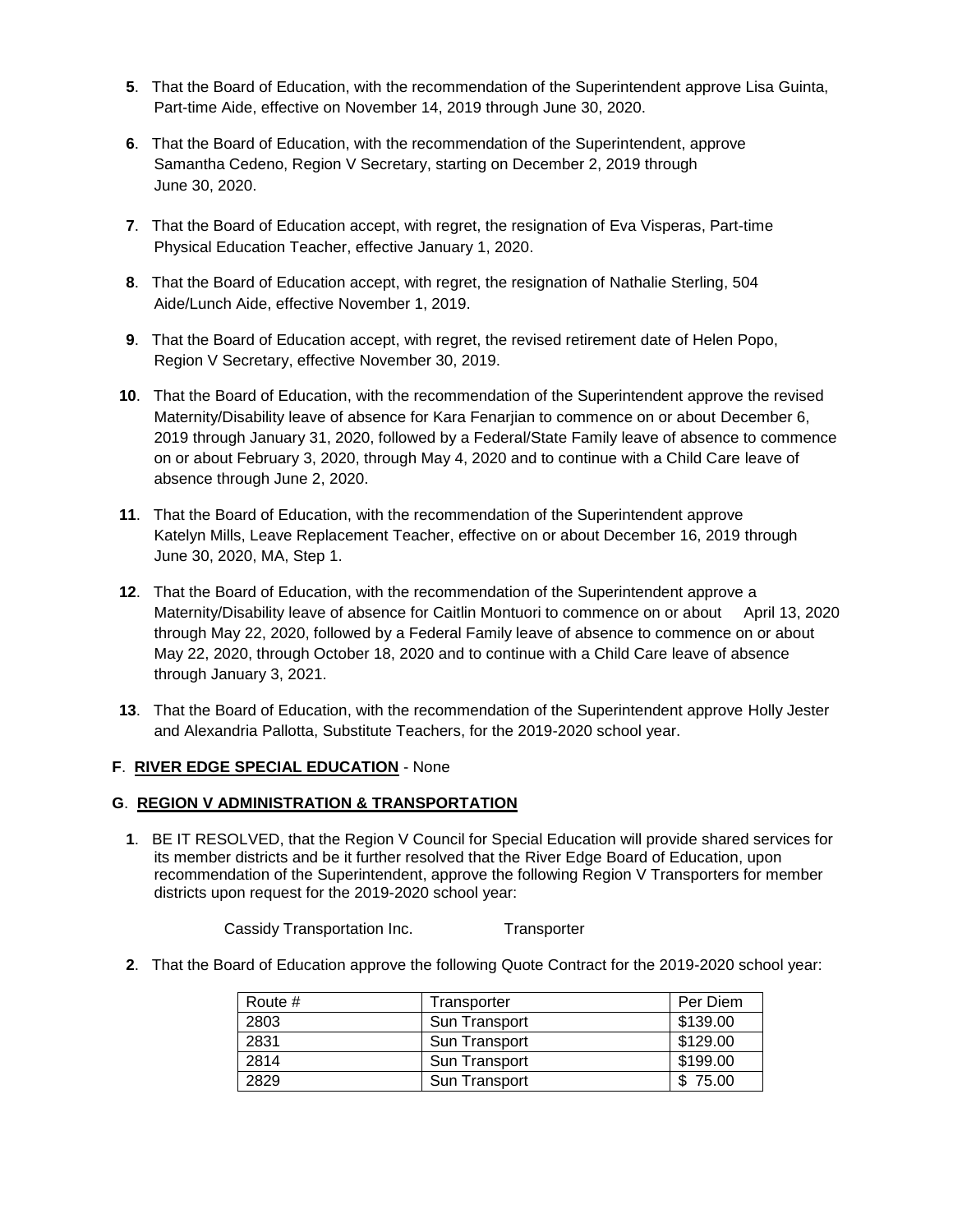- **5**. That the Board of Education, with the recommendation of the Superintendent approve Lisa Guinta, Part-time Aide, effective on November 14, 2019 through June 30, 2020.
- **6**. That the Board of Education, with the recommendation of the Superintendent, approve Samantha Cedeno, Region V Secretary, starting on December 2, 2019 through June 30, 2020.
- **7**. That the Board of Education accept, with regret, the resignation of Eva Visperas, Part-time Physical Education Teacher, effective January 1, 2020.
- **8**. That the Board of Education accept, with regret, the resignation of Nathalie Sterling, 504 Aide/Lunch Aide, effective November 1, 2019.
- **9**. That the Board of Education accept, with regret, the revised retirement date of Helen Popo, Region V Secretary, effective November 30, 2019.
- **10**. That the Board of Education, with the recommendation of the Superintendent approve the revised Maternity/Disability leave of absence for Kara Fenarjian to commence on or about December 6, 2019 through January 31, 2020, followed by a Federal/State Family leave of absence to commence on or about February 3, 2020, through May 4, 2020 and to continue with a Child Care leave of absence through June 2, 2020.
- **11**. That the Board of Education, with the recommendation of the Superintendent approve Katelyn Mills, Leave Replacement Teacher, effective on or about December 16, 2019 through June 30, 2020, MA, Step 1.
- **12**. That the Board of Education, with the recommendation of the Superintendent approve a Maternity/Disability leave of absence for Caitlin Montuori to commence on or about April 13, 2020 through May 22, 2020, followed by a Federal Family leave of absence to commence on or about May 22, 2020, through October 18, 2020 and to continue with a Child Care leave of absence through January 3, 2021.
- **13**. That the Board of Education, with the recommendation of the Superintendent approve Holly Jester and Alexandria Pallotta, Substitute Teachers, for the 2019-2020 school year.

## **F**. **RIVER EDGE SPECIAL EDUCATION** - None

## **G**. **REGION V ADMINISTRATION & TRANSPORTATION**

**1**. BE IT RESOLVED, that the Region V Council for Special Education will provide shared services for its member districts and be it further resolved that the River Edge Board of Education, upon recommendation of the Superintendent, approve the following Region V Transporters for member districts upon request for the 2019-2020 school year:

Cassidy Transportation Inc. Transporter

**2**. That the Board of Education approve the following Quote Contract for the 2019-2020 school year:

| Route # | Transporter          | Per Diem |
|---------|----------------------|----------|
| 2803    | <b>Sun Transport</b> | \$139.00 |
| 2831    | Sun Transport        | \$129.00 |
| 2814    | Sun Transport        | \$199.00 |
| 2829    | Sun Transport        | \$75.00  |